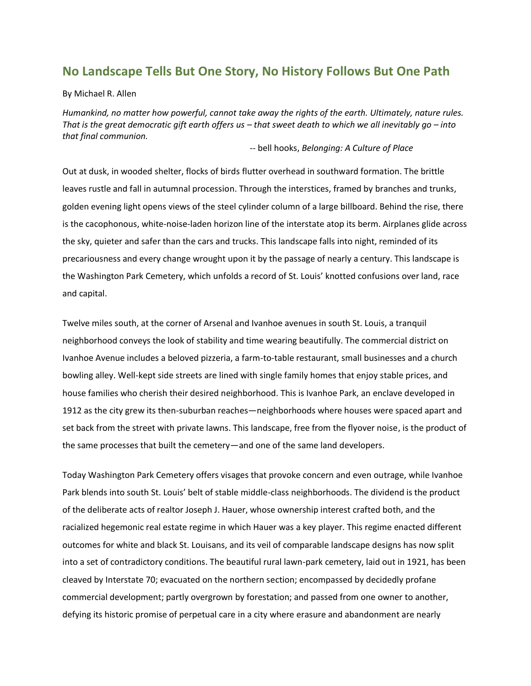# **No Landscape Tells But One Story, No History Follows But One Path**

By Michael R. Allen

*Humankind, no matter how powerful, cannot take away the rights of the earth. Ultimately, nature rules. That is the great democratic gift earth offers us – that sweet death to which we all inevitably go – into that final communion.*

-- bell hooks, *Belonging: A Culture of Place*

Out at dusk, in wooded shelter, flocks of birds flutter overhead in southward formation. The brittle leaves rustle and fall in autumnal procession. Through the interstices, framed by branches and trunks, golden evening light opens views of the steel cylinder column of a large billboard. Behind the rise, there is the cacophonous, white-noise-laden horizon line of the interstate atop its berm. Airplanes glide across the sky, quieter and safer than the cars and trucks. This landscape falls into night, reminded of its precariousness and every change wrought upon it by the passage of nearly a century. This landscape is the Washington Park Cemetery, which unfolds a record of St. Louis' knotted confusions over land, race and capital.

Twelve miles south, at the corner of Arsenal and Ivanhoe avenues in south St. Louis, a tranquil neighborhood conveys the look of stability and time wearing beautifully. The commercial district on Ivanhoe Avenue includes a beloved pizzeria, a farm-to-table restaurant, small businesses and a church bowling alley. Well-kept side streets are lined with single family homes that enjoy stable prices, and house families who cherish their desired neighborhood. This is Ivanhoe Park, an enclave developed in 1912 as the city grew its then-suburban reaches—neighborhoods where houses were spaced apart and set back from the street with private lawns. This landscape, free from the flyover noise, is the product of the same processes that built the cemetery—and one of the same land developers.

Today Washington Park Cemetery offers visages that provoke concern and even outrage, while Ivanhoe Park blends into south St. Louis' belt of stable middle-class neighborhoods. The dividend is the product of the deliberate acts of realtor Joseph J. Hauer, whose ownership interest crafted both, and the racialized hegemonic real estate regime in which Hauer was a key player. This regime enacted different outcomes for white and black St. Louisans, and its veil of comparable landscape designs has now split into a set of contradictory conditions. The beautiful rural lawn-park cemetery, laid out in 1921, has been cleaved by Interstate 70; evacuated on the northern section; encompassed by decidedly profane commercial development; partly overgrown by forestation; and passed from one owner to another, defying its historic promise of perpetual care in a city where erasure and abandonment are nearly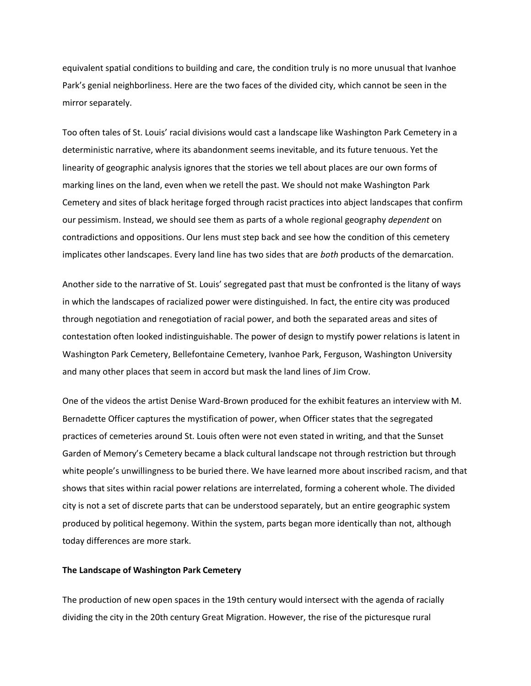equivalent spatial conditions to building and care, the condition truly is no more unusual that Ivanhoe Park's genial neighborliness. Here are the two faces of the divided city, which cannot be seen in the mirror separately.

Too often tales of St. Louis' racial divisions would cast a landscape like Washington Park Cemetery in a deterministic narrative, where its abandonment seems inevitable, and its future tenuous. Yet the linearity of geographic analysis ignores that the stories we tell about places are our own forms of marking lines on the land, even when we retell the past. We should not make Washington Park Cemetery and sites of black heritage forged through racist practices into abject landscapes that confirm our pessimism. Instead, we should see them as parts of a whole regional geography *dependent* on contradictions and oppositions. Our lens must step back and see how the condition of this cemetery implicates other landscapes. Every land line has two sides that are *both* products of the demarcation.

Another side to the narrative of St. Louis' segregated past that must be confronted is the litany of ways in which the landscapes of racialized power were distinguished. In fact, the entire city was produced through negotiation and renegotiation of racial power, and both the separated areas and sites of contestation often looked indistinguishable. The power of design to mystify power relations is latent in Washington Park Cemetery, Bellefontaine Cemetery, Ivanhoe Park, Ferguson, Washington University and many other places that seem in accord but mask the land lines of Jim Crow.

One of the videos the artist Denise Ward-Brown produced for the exhibit features an interview with M. Bernadette Officer captures the mystification of power, when Officer states that the segregated practices of cemeteries around St. Louis often were not even stated in writing, and that the Sunset Garden of Memory's Cemetery became a black cultural landscape not through restriction but through white people's unwillingness to be buried there. We have learned more about inscribed racism, and that shows that sites within racial power relations are interrelated, forming a coherent whole. The divided city is not a set of discrete parts that can be understood separately, but an entire geographic system produced by political hegemony. Within the system, parts began more identically than not, although today differences are more stark.

## **The Landscape of Washington Park Cemetery**

The production of new open spaces in the 19th century would intersect with the agenda of racially dividing the city in the 20th century Great Migration. However, the rise of the picturesque rural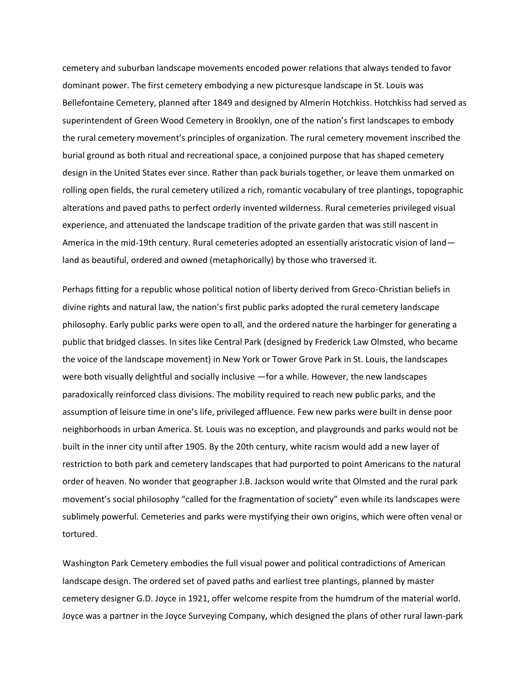cemetery and suburban landscape movements encoded power relations that always tended to favor dominant power. The first cemetery embodying a new picturesque landscape in St. Louis was Bellefontaine Cemetery, planned after 1849 and designed by Almerin Hotchkiss. Hotchkiss had served as superintendent of Green Wood Cemetery in Brooklyn, one of the nation's first landscapes to embody the rural cemetery movement's principles of organization. The rural cemetery movement inscribed the burial ground as both ritual and recreational space, a conjoined purpose that has shaped cemetery design in the United States ever since. Rather than pack burials together, or leave them unmarked on rolling open fields, the rural cemetery utilized a rich, romantic vocabulary of tree plantings, topographic alterations and paved paths to perfect orderly invented wilderness. Rural cemeteries privileged visual experience, and attenuated the landscape tradition of the private garden that was still nascent in America in the mid-19th century. Rural cemeteries adopted an essentially aristocratic vision of landland as beautiful, ordered and owned (metaphorically) by those who traversed it.

Perhaps fitting for a republic whose political notion of liberty derived from Greco-Christian beliefs in divine rights and natural law, the nation's first public parks adopted the rural cemetery landscape philosophy. Early public parks were open to all, and the ordered nature the harbinger for generating a public that bridged classes. In sites like Central Park (designed by Frederick Law Olmsted, who became the voice of the landscape movement) in New York or Tower Grove Park in St. Louis, the landscapes were both visually delightful and socially inclusive —for a while. However, the new landscapes paradoxically reinforced class divisions. The mobility required to reach new public parks, and the assumption of leisure time in one's life, privileged affluence. Few new parks were built in dense poor neighborhoods in urban America. St. Louis was no exception, and playgrounds and parks would not be built in the inner city until after 1905. By the 20th century, white racism would add a new layer of restriction to both park and cemetery landscapes that had purported to point Americans to the natural order of heaven. No wonder that geographer J.B. Jackson would write that Olmsted and the rural park movement's social philosophy "called for the fragmentation of society" even while its landscapes were sublimely powerful. Cemeteries and parks were mystifying their own origins, which were often venal or tortured.

Washington Park Cemetery embodies the full visual power and political contradictions of American landscape design. The ordered set of paved paths and earliest tree plantings, planned by master cemetery designer G.D. Joyce in 1921, offer welcome respite from the humdrum of the material world. Joyce was a partner in the Joyce Surveying Company, which designed the plans of other rural lawn-park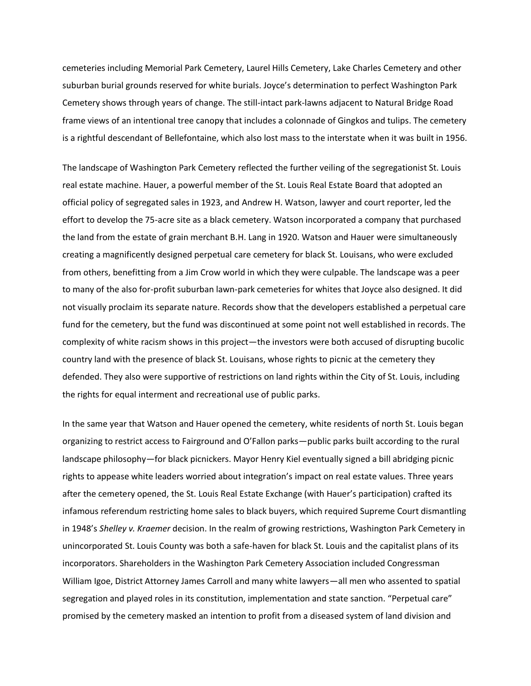cemeteries including Memorial Park Cemetery, Laurel Hills Cemetery, Lake Charles Cemetery and other suburban burial grounds reserved for white burials. Joyce's determination to perfect Washington Park Cemetery shows through years of change. The still-intact park-lawns adjacent to Natural Bridge Road frame views of an intentional tree canopy that includes a colonnade of Gingkos and tulips. The cemetery is a rightful descendant of Bellefontaine, which also lost mass to the interstate when it was built in 1956.

The landscape of Washington Park Cemetery reflected the further veiling of the segregationist St. Louis real estate machine. Hauer, a powerful member of the St. Louis Real Estate Board that adopted an official policy of segregated sales in 1923, and Andrew H. Watson, lawyer and court reporter, led the effort to develop the 75-acre site as a black cemetery. Watson incorporated a company that purchased the land from the estate of grain merchant B.H. Lang in 1920. Watson and Hauer were simultaneously creating a magnificently designed perpetual care cemetery for black St. Louisans, who were excluded from others, benefitting from a Jim Crow world in which they were culpable. The landscape was a peer to many of the also for-profit suburban lawn-park cemeteries for whites that Joyce also designed. It did not visually proclaim its separate nature. Records show that the developers established a perpetual care fund for the cemetery, but the fund was discontinued at some point not well established in records. The complexity of white racism shows in this project—the investors were both accused of disrupting bucolic country land with the presence of black St. Louisans, whose rights to picnic at the cemetery they defended. They also were supportive of restrictions on land rights within the City of St. Louis, including the rights for equal interment and recreational use of public parks.

In the same year that Watson and Hauer opened the cemetery, white residents of north St. Louis began organizing to restrict access to Fairground and O'Fallon parks—public parks built according to the rural landscape philosophy—for black picnickers. Mayor Henry Kiel eventually signed a bill abridging picnic rights to appease white leaders worried about integration's impact on real estate values. Three years after the cemetery opened, the St. Louis Real Estate Exchange (with Hauer's participation) crafted its infamous referendum restricting home sales to black buyers, which required Supreme Court dismantling in 1948's *Shelley v. Kraemer* decision. In the realm of growing restrictions, Washington Park Cemetery in unincorporated St. Louis County was both a safe-haven for black St. Louis and the capitalist plans of its incorporators. Shareholders in the Washington Park Cemetery Association included Congressman William Igoe, District Attorney James Carroll and many white lawyers—all men who assented to spatial segregation and played roles in its constitution, implementation and state sanction. "Perpetual care" promised by the cemetery masked an intention to profit from a diseased system of land division and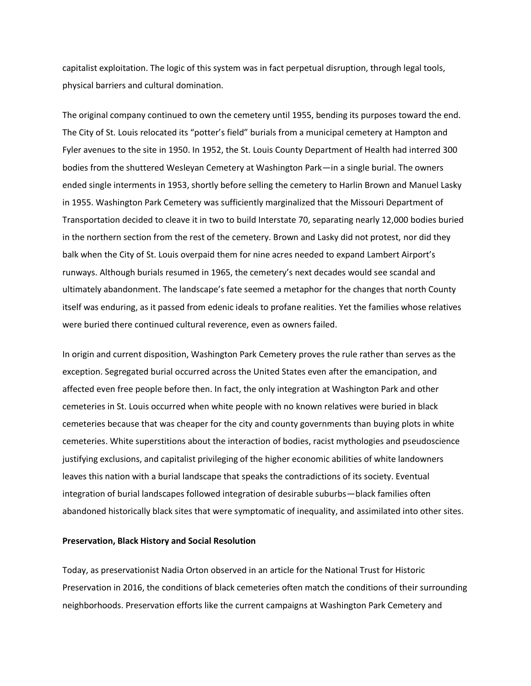capitalist exploitation. The logic of this system was in fact perpetual disruption, through legal tools, physical barriers and cultural domination.

The original company continued to own the cemetery until 1955, bending its purposes toward the end. The City of St. Louis relocated its "potter's field" burials from a municipal cemetery at Hampton and Fyler avenues to the site in 1950. In 1952, the St. Louis County Department of Health had interred 300 bodies from the shuttered Wesleyan Cemetery at Washington Park—in a single burial. The owners ended single interments in 1953, shortly before selling the cemetery to Harlin Brown and Manuel Lasky in 1955. Washington Park Cemetery was sufficiently marginalized that the Missouri Department of Transportation decided to cleave it in two to build Interstate 70, separating nearly 12,000 bodies buried in the northern section from the rest of the cemetery. Brown and Lasky did not protest, nor did they balk when the City of St. Louis overpaid them for nine acres needed to expand Lambert Airport's runways. Although burials resumed in 1965, the cemetery's next decades would see scandal and ultimately abandonment. The landscape's fate seemed a metaphor for the changes that north County itself was enduring, as it passed from edenic ideals to profane realities. Yet the families whose relatives were buried there continued cultural reverence, even as owners failed.

In origin and current disposition, Washington Park Cemetery proves the rule rather than serves as the exception. Segregated burial occurred across the United States even after the emancipation, and affected even free people before then. In fact, the only integration at Washington Park and other cemeteries in St. Louis occurred when white people with no known relatives were buried in black cemeteries because that was cheaper for the city and county governments than buying plots in white cemeteries. White superstitions about the interaction of bodies, racist mythologies and pseudoscience justifying exclusions, and capitalist privileging of the higher economic abilities of white landowners leaves this nation with a burial landscape that speaks the contradictions of its society. Eventual integration of burial landscapes followed integration of desirable suburbs—black families often abandoned historically black sites that were symptomatic of inequality, and assimilated into other sites.

## **Preservation, Black History and Social Resolution**

Today, as preservationist Nadia Orton observed in an article for the National Trust for Historic Preservation in 2016, the conditions of black cemeteries often match the conditions of their surrounding neighborhoods. Preservation efforts like the current campaigns at Washington Park Cemetery and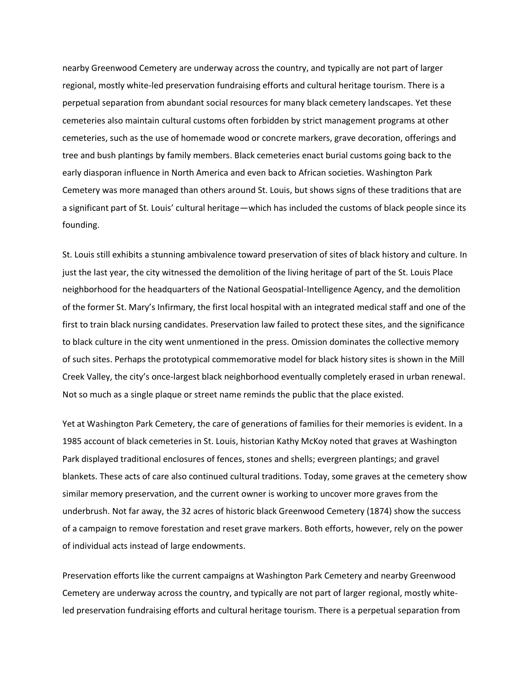nearby Greenwood Cemetery are underway across the country, and typically are not part of larger regional, mostly white-led preservation fundraising efforts and cultural heritage tourism. There is a perpetual separation from abundant social resources for many black cemetery landscapes. Yet these cemeteries also maintain cultural customs often forbidden by strict management programs at other cemeteries, such as the use of homemade wood or concrete markers, grave decoration, offerings and tree and bush plantings by family members. Black cemeteries enact burial customs going back to the early diasporan influence in North America and even back to African societies. Washington Park Cemetery was more managed than others around St. Louis, but shows signs of these traditions that are a significant part of St. Louis' cultural heritage—which has included the customs of black people since its founding.

St. Louis still exhibits a stunning ambivalence toward preservation of sites of black history and culture. In just the last year, the city witnessed the demolition of the living heritage of part of the St. Louis Place neighborhood for the headquarters of the National Geospatial-Intelligence Agency, and the demolition of the former St. Mary's Infirmary, the first local hospital with an integrated medical staff and one of the first to train black nursing candidates. Preservation law failed to protect these sites, and the significance to black culture in the city went unmentioned in the press. Omission dominates the collective memory of such sites. Perhaps the prototypical commemorative model for black history sites is shown in the Mill Creek Valley, the city's once-largest black neighborhood eventually completely erased in urban renewal. Not so much as a single plaque or street name reminds the public that the place existed.

Yet at Washington Park Cemetery, the care of generations of families for their memories is evident. In a 1985 account of black cemeteries in St. Louis, historian Kathy McKoy noted that graves at Washington Park displayed traditional enclosures of fences, stones and shells; evergreen plantings; and gravel blankets. These acts of care also continued cultural traditions. Today, some graves at the cemetery show similar memory preservation, and the current owner is working to uncover more graves from the underbrush. Not far away, the 32 acres of historic black Greenwood Cemetery (1874) show the success of a campaign to remove forestation and reset grave markers. Both efforts, however, rely on the power of individual acts instead of large endowments.

Preservation efforts like the current campaigns at Washington Park Cemetery and nearby Greenwood Cemetery are underway across the country, and typically are not part of larger regional, mostly whiteled preservation fundraising efforts and cultural heritage tourism. There is a perpetual separation from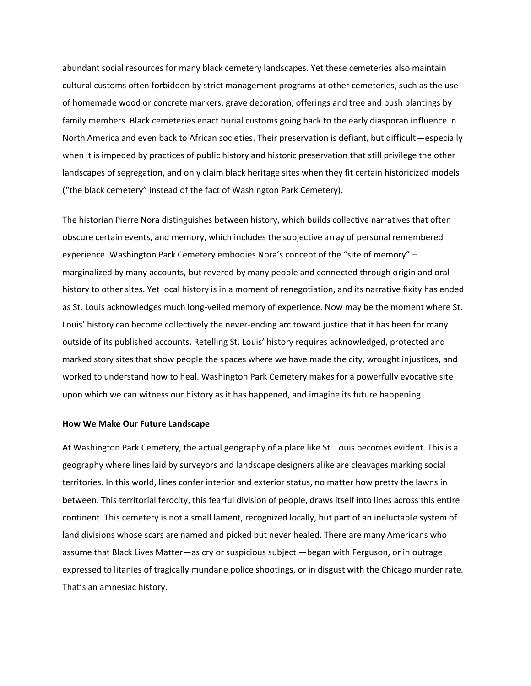abundant social resources for many black cemetery landscapes. Yet these cemeteries also maintain cultural customs often forbidden by strict management programs at other cemeteries, such as the use of homemade wood or concrete markers, grave decoration, offerings and tree and bush plantings by family members. Black cemeteries enact burial customs going back to the early diasporan influence in North America and even back to African societies. Their preservation is defiant, but difficult—especially when it is impeded by practices of public history and historic preservation that still privilege the other landscapes of segregation, and only claim black heritage sites when they fit certain historicized models ("the black cemetery" instead of the fact of Washington Park Cemetery).

The historian Pierre Nora distinguishes between history, which builds collective narratives that often obscure certain events, and memory, which includes the subjective array of personal remembered experience. Washington Park Cemetery embodies Nora's concept of the "site of memory" – marginalized by many accounts, but revered by many people and connected through origin and oral history to other sites. Yet local history is in a moment of renegotiation, and its narrative fixity has ended as St. Louis acknowledges much long-veiled memory of experience. Now may be the moment where St. Louis' history can become collectively the never-ending arc toward justice that it has been for many outside of its published accounts. Retelling St. Louis' history requires acknowledged, protected and marked story sites that show people the spaces where we have made the city, wrought injustices, and worked to understand how to heal. Washington Park Cemetery makes for a powerfully evocative site upon which we can witness our history as it has happened, and imagine its future happening.

#### **How We Make Our Future Landscape**

At Washington Park Cemetery, the actual geography of a place like St. Louis becomes evident. This is a geography where lines laid by surveyors and landscape designers alike are cleavages marking social territories. In this world, lines confer interior and exterior status, no matter how pretty the lawns in between. This territorial ferocity, this fearful division of people, draws itself into lines across this entire continent. This cemetery is not a small lament, recognized locally, but part of an ineluctable system of land divisions whose scars are named and picked but never healed. There are many Americans who assume that Black Lives Matter—as cry or suspicious subject —began with Ferguson, or in outrage expressed to litanies of tragically mundane police shootings, or in disgust with the Chicago murder rate. That's an amnesiac history.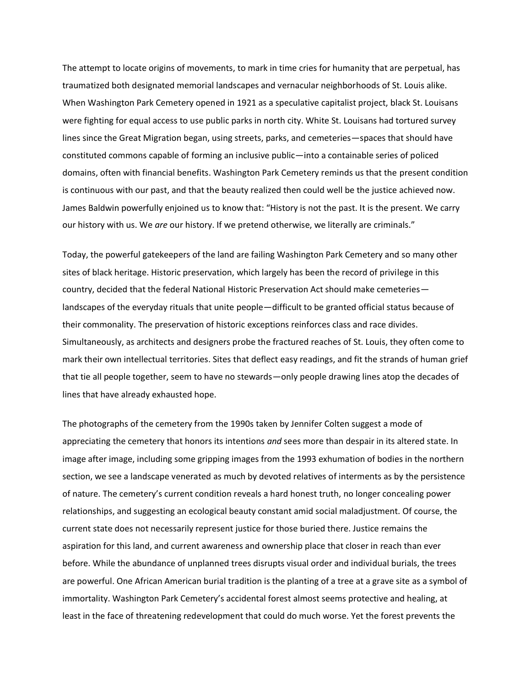The attempt to locate origins of movements, to mark in time cries for humanity that are perpetual, has traumatized both designated memorial landscapes and vernacular neighborhoods of St. Louis alike. When Washington Park Cemetery opened in 1921 as a speculative capitalist project, black St. Louisans were fighting for equal access to use public parks in north city. White St. Louisans had tortured survey lines since the Great Migration began, using streets, parks, and cemeteries—spaces that should have constituted commons capable of forming an inclusive public—into a containable series of policed domains, often with financial benefits. Washington Park Cemetery reminds us that the present condition is continuous with our past, and that the beauty realized then could well be the justice achieved now. James Baldwin powerfully enjoined us to know that: "History is not the past. It is the present. We carry our history with us. We *are* our history. If we pretend otherwise, we literally are criminals."

Today, the powerful gatekeepers of the land are failing Washington Park Cemetery and so many other sites of black heritage. Historic preservation, which largely has been the record of privilege in this country, decided that the federal National Historic Preservation Act should make cemeteries landscapes of the everyday rituals that unite people—difficult to be granted official status because of their commonality. The preservation of historic exceptions reinforces class and race divides. Simultaneously, as architects and designers probe the fractured reaches of St. Louis, they often come to mark their own intellectual territories. Sites that deflect easy readings, and fit the strands of human grief that tie all people together, seem to have no stewards—only people drawing lines atop the decades of lines that have already exhausted hope.

The photographs of the cemetery from the 1990s taken by Jennifer Colten suggest a mode of appreciating the cemetery that honors its intentions *and* sees more than despair in its altered state. In image after image, including some gripping images from the 1993 exhumation of bodies in the northern section, we see a landscape venerated as much by devoted relatives of interments as by the persistence of nature. The cemetery's current condition reveals a hard honest truth, no longer concealing power relationships, and suggesting an ecological beauty constant amid social maladjustment. Of course, the current state does not necessarily represent justice for those buried there. Justice remains the aspiration for this land, and current awareness and ownership place that closer in reach than ever before. While the abundance of unplanned trees disrupts visual order and individual burials, the trees are powerful. One African American burial tradition is the planting of a tree at a grave site as a symbol of immortality. Washington Park Cemetery's accidental forest almost seems protective and healing, at least in the face of threatening redevelopment that could do much worse. Yet the forest prevents the